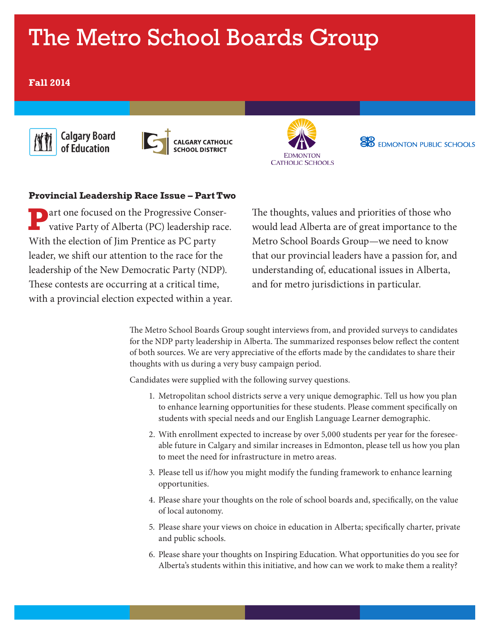# The Metro School Boards Group

# **Fall 2014**





CALGARY CATHOLIC<br>SCHOOL DISTRICT



**EDMONTON PUBLIC SCHOOLS** 

# **Provincial Leadership Race Issue – Part Two**

**P**art one focused on the Progressive Conser-vative Party of Alberta (PC) leadership race. With the election of Jim Prentice as PC party leader, we shift our attention to the race for the leadership of the New Democratic Party (NDP). These contests are occurring at a critical time, with a provincial election expected within a year.

The thoughts, values and priorities of those who would lead Alberta are of great importance to the Metro School Boards Group—we need to know that our provincial leaders have a passion for, and understanding of, educational issues in Alberta, and for metro jurisdictions in particular.

The Metro School Boards Group sought interviews from, and provided surveys to candidates for the NDP party leadership in Alberta. The summarized responses below reflect the content of both sources. We are very appreciative of the efforts made by the candidates to share their thoughts with us during a very busy campaign period.

Candidates were supplied with the following survey questions.

- 1. Metropolitan school districts serve a very unique demographic. Tell us how you plan to enhance learning opportunities for these students. Please comment specifically on students with special needs and our English Language Learner demographic.
- 2. With enrollment expected to increase by over 5,000 students per year for the foreseeable future in Calgary and similar increases in Edmonton, please tell us how you plan to meet the need for infrastructure in metro areas.
- 3. Please tell us if/how you might modify the funding framework to enhance learning opportunities.
- 4. Please share your thoughts on the role of school boards and, specifically, on the value of local autonomy.
- 5. Please share your views on choice in education in Alberta; specifically charter, private and public schools.
- 6. Please share your thoughts on Inspiring Education. What opportunities do you see for Alberta's students within this initiative, and how can we work to make them a reality?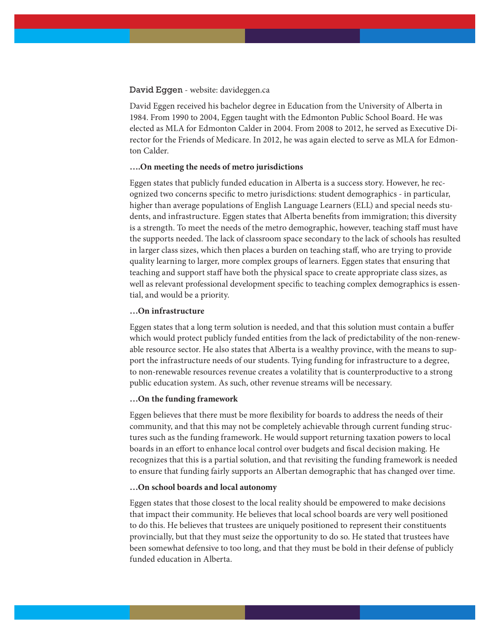#### David Eggen - website: davideggen.ca

David Eggen received his bachelor degree in Education from the University of Alberta in 1984. From 1990 to 2004, Eggen taught with the Edmonton Public School Board. He was elected as MLA for Edmonton Calder in 2004. From 2008 to 2012, he served as Executive Director for the Friends of Medicare. In 2012, he was again elected to serve as MLA for Edmonton Calder.

## **….On meeting the needs of metro jurisdictions**

Eggen states that publicly funded education in Alberta is a success story. However, he recognized two concerns specific to metro jurisdictions: student demographics - in particular, higher than average populations of English Language Learners (ELL) and special needs students, and infrastructure. Eggen states that Alberta benefits from immigration; this diversity is a strength. To meet the needs of the metro demographic, however, teaching staff must have the supports needed. The lack of classroom space secondary to the lack of schools has resulted in larger class sizes, which then places a burden on teaching staff, who are trying to provide quality learning to larger, more complex groups of learners. Eggen states that ensuring that teaching and support staff have both the physical space to create appropriate class sizes, as well as relevant professional development specific to teaching complex demographics is essential, and would be a priority.

## **…On infrastructure**

Eggen states that a long term solution is needed, and that this solution must contain a buffer which would protect publicly funded entities from the lack of predictability of the non-renewable resource sector. He also states that Alberta is a wealthy province, with the means to support the infrastructure needs of our students. Tying funding for infrastructure to a degree, to non-renewable resources revenue creates a volatility that is counterproductive to a strong public education system. As such, other revenue streams will be necessary.

#### **…On the funding framework**

Eggen believes that there must be more flexibility for boards to address the needs of their community, and that this may not be completely achievable through current funding structures such as the funding framework. He would support returning taxation powers to local boards in an effort to enhance local control over budgets and fiscal decision making. He recognizes that this is a partial solution, and that revisiting the funding framework is needed to ensure that funding fairly supports an Albertan demographic that has changed over time.

#### **…On school boards and local autonomy**

Eggen states that those closest to the local reality should be empowered to make decisions that impact their community. He believes that local school boards are very well positioned to do this. He believes that trustees are uniquely positioned to represent their constituents provincially, but that they must seize the opportunity to do so. He stated that trustees have been somewhat defensive to too long, and that they must be bold in their defense of publicly funded education in Alberta.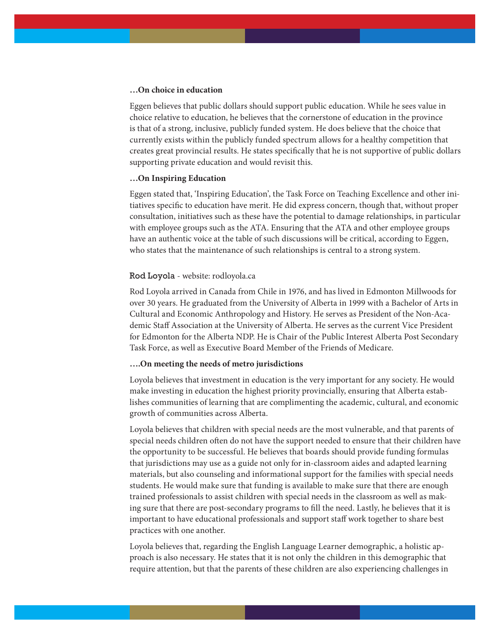## **…On choice in education**

Eggen believes that public dollars should support public education. While he sees value in choice relative to education, he believes that the cornerstone of education in the province is that of a strong, inclusive, publicly funded system. He does believe that the choice that currently exists within the publicly funded spectrum allows for a healthy competition that creates great provincial results. He states specifically that he is not supportive of public dollars supporting private education and would revisit this.

## **…On Inspiring Education**

Eggen stated that, 'Inspiring Education', the Task Force on Teaching Excellence and other initiatives specific to education have merit. He did express concern, though that, without proper consultation, initiatives such as these have the potential to damage relationships, in particular with employee groups such as the ATA. Ensuring that the ATA and other employee groups have an authentic voice at the table of such discussions will be critical, according to Eggen, who states that the maintenance of such relationships is central to a strong system.

#### Rod Loyola - website: rodloyola.ca

Rod Loyola arrived in Canada from Chile in 1976, and has lived in Edmonton Millwoods for over 30 years. He graduated from the University of Alberta in 1999 with a Bachelor of Arts in Cultural and Economic Anthropology and History. He serves as President of the Non-Academic Staff Association at the University of Alberta. He serves as the current Vice President for Edmonton for the Alberta NDP. He is Chair of the Public Interest Alberta Post Secondary Task Force, as well as Executive Board Member of the Friends of Medicare.

#### **….On meeting the needs of metro jurisdictions**

Loyola believes that investment in education is the very important for any society. He would make investing in education the highest priority provincially, ensuring that Alberta establishes communities of learning that are complimenting the academic, cultural, and economic growth of communities across Alberta.

Loyola believes that children with special needs are the most vulnerable, and that parents of special needs children often do not have the support needed to ensure that their children have the opportunity to be successful. He believes that boards should provide funding formulas that jurisdictions may use as a guide not only for in-classroom aides and adapted learning materials, but also counseling and informational support for the families with special needs students. He would make sure that funding is available to make sure that there are enough trained professionals to assist children with special needs in the classroom as well as making sure that there are post-secondary programs to fill the need. Lastly, he believes that it is important to have educational professionals and support staff work together to share best practices with one another.

Loyola believes that, regarding the English Language Learner demographic, a holistic approach is also necessary. He states that it is not only the children in this demographic that require attention, but that the parents of these children are also experiencing challenges in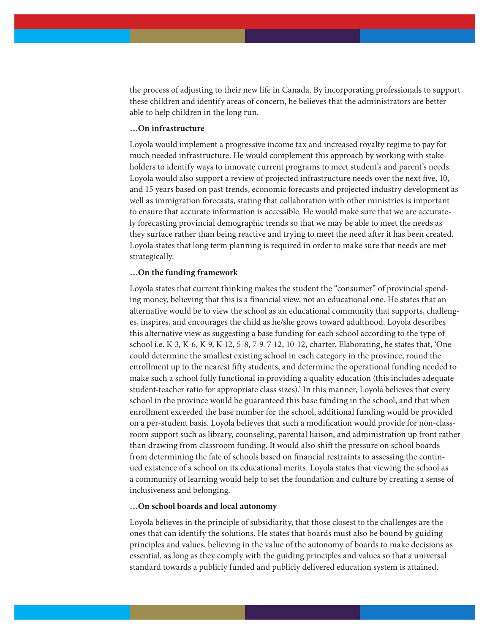the process of adjusting to their new life in Canada. By incorporating professionals to support these children and identify areas of concern, he believes that the administrators are better able to help children in the long run.

## **…On infrastructure**

Loyola would implement a progressive income tax and increased royalty regime to pay for much needed infrastructure. He would complement this approach by working with stakeholders to identify ways to innovate current programs to meet student's and parent's needs. Loyola would also support a review of projected infrastructure needs over the next five, 10, and 15 years based on past trends, economic forecasts and projected industry development as well as immigration forecasts, stating that collaboration with other ministries is important to ensure that accurate information is accessible. He would make sure that we are accurately forecasting provincial demographic trends so that we may be able to meet the needs as they surface rather than being reactive and trying to meet the need after it has been created. Loyola states that long term planning is required in order to make sure that needs are met strategically.

#### **…On the funding framework**

Loyola states that current thinking makes the student the "consumer" of provincial spending money, believing that this is a financial view, not an educational one. He states that an alternative would be to view the school as an educational community that supports, challenges, inspires, and encourages the child as he/she grows toward adulthood. Loyola describes this alternative view as suggesting a base funding for each school according to the type of school i.e. K-3, K-6, K-9, K-12, 5-8, 7-9. 7-12, 10-12, charter. Elaborating, he states that, 'One could determine the smallest existing school in each category in the province, round the enrollment up to the nearest fifty students, and determine the operational funding needed to make such a school fully functional in providing a quality education (this includes adequate student-teacher ratio for appropriate class sizes).' In this manner, Loyola believes that every school in the province would be guaranteed this base funding in the school, and that when enrollment exceeded the base number for the school, additional funding would be provided on a per-student basis. Loyola believes that such a modification would provide for non-classroom support such as library, counseling, parental liaison, and administration up front rather than drawing from classroom funding. It would also shift the pressure on school boards from determining the fate of schools based on financial restraints to assessing the continued existence of a school on its educational merits. Loyola states that viewing the school as a community of learning would help to set the foundation and culture by creating a sense of inclusiveness and belonging.

### **…On school boards and local autonomy**

Loyola believes in the principle of subsidiarity, that those closest to the challenges are the ones that can identify the solutions. He states that boards must also be bound by guiding principles and values, believing in the value of the autonomy of boards to make decisions as essential, as long as they comply with the guiding principles and values so that a universal standard towards a publicly funded and publicly delivered education system is attained.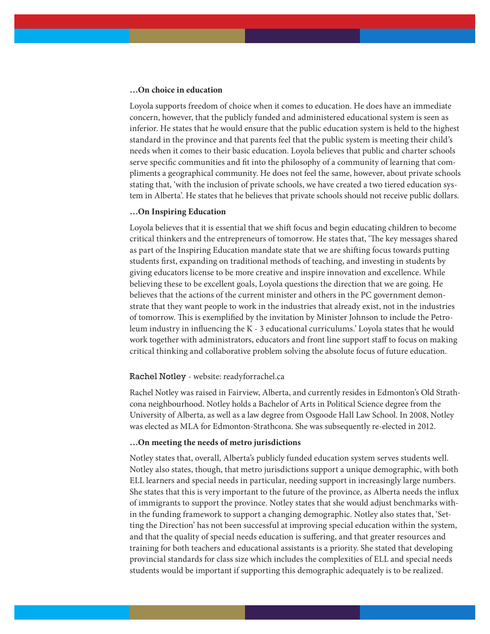#### **…On choice in education**

Loyola supports freedom of choice when it comes to education. He does have an immediate concern, however, that the publicly funded and administered educational system is seen as inferior. He states that he would ensure that the public education system is held to the highest standard in the province and that parents feel that the public system is meeting their child's needs when it comes to their basic education. Loyola believes that public and charter schools serve specific communities and fit into the philosophy of a community of learning that compliments a geographical community. He does not feel the same, however, about private schools stating that, 'with the inclusion of private schools, we have created a two tiered education system in Alberta'. He states that he believes that private schools should not receive public dollars.

# **…On Inspiring Education**

Loyola believes that it is essential that we shift focus and begin educating children to become critical thinkers and the entrepreneurs of tomorrow. He states that, 'The key messages shared as part of the Inspiring Education mandate state that we are shifting focus towards putting students first, expanding on traditional methods of teaching, and investing in students by giving educators license to be more creative and inspire innovation and excellence. While believing these to be excellent goals, Loyola questions the direction that we are going. He believes that the actions of the current minister and others in the PC government demonstrate that they want people to work in the industries that already exist, not in the industries of tomorrow. This is exemplified by the invitation by Minister Johnson to include the Petroleum industry in influencing the K - 3 educational curriculums.' Loyola states that he would work together with administrators, educators and front line support staff to focus on making critical thinking and collaborative problem solving the absolute focus of future education.

#### Rachel Notley - website: readyforrachel.ca

Rachel Notley was raised in Fairview, Alberta, and currently resides in Edmonton's Old Strathcona neighbourhood. Notley holds a Bachelor of Arts in Political Science degree from the University of Alberta, as well as a law degree from Osgoode Hall Law School. In 2008, Notley was elected as MLA for Edmonton-Strathcona. She was subsequently re-elected in 2012.

#### **…On meeting the needs of metro jurisdictions**

Notley states that, overall, Alberta's publicly funded education system serves students well. Notley also states, though, that metro jurisdictions support a unique demographic, with both ELL learners and special needs in particular, needing support in increasingly large numbers. She states that this is very important to the future of the province, as Alberta needs the influx of immigrants to support the province. Notley states that she would adjust benchmarks within the funding framework to support a changing demographic. Notley also states that, 'Setting the Direction' has not been successful at improving special education within the system, and that the quality of special needs education is suffering, and that greater resources and training for both teachers and educational assistants is a priority. She stated that developing provincial standards for class size which includes the complexities of ELL and special needs students would be important if supporting this demographic adequately is to be realized.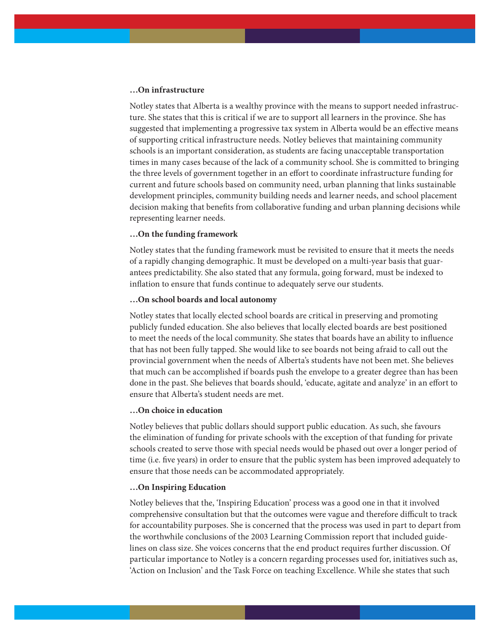# **…On infrastructure**

Notley states that Alberta is a wealthy province with the means to support needed infrastructure. She states that this is critical if we are to support all learners in the province. She has suggested that implementing a progressive tax system in Alberta would be an effective means of supporting critical infrastructure needs. Notley believes that maintaining community schools is an important consideration, as students are facing unacceptable transportation times in many cases because of the lack of a community school. She is committed to bringing the three levels of government together in an effort to coordinate infrastructure funding for current and future schools based on community need, urban planning that links sustainable development principles, community building needs and learner needs, and school placement decision making that benefits from collaborative funding and urban planning decisions while representing learner needs.

#### **…On the funding framework**

Notley states that the funding framework must be revisited to ensure that it meets the needs of a rapidly changing demographic. It must be developed on a multi-year basis that guarantees predictability. She also stated that any formula, going forward, must be indexed to inflation to ensure that funds continue to adequately serve our students.

#### **…On school boards and local autonomy**

Notley states that locally elected school boards are critical in preserving and promoting publicly funded education. She also believes that locally elected boards are best positioned to meet the needs of the local community. She states that boards have an ability to influence that has not been fully tapped. She would like to see boards not being afraid to call out the provincial government when the needs of Alberta's students have not been met. She believes that much can be accomplished if boards push the envelope to a greater degree than has been done in the past. She believes that boards should, 'educate, agitate and analyze' in an effort to ensure that Alberta's student needs are met.

# **…On choice in education**

Notley believes that public dollars should support public education. As such, she favours the elimination of funding for private schools with the exception of that funding for private schools created to serve those with special needs would be phased out over a longer period of time (i.e. five years) in order to ensure that the public system has been improved adequately to ensure that those needs can be accommodated appropriately.

## **…On Inspiring Education**

Notley believes that the, 'Inspiring Education' process was a good one in that it involved comprehensive consultation but that the outcomes were vague and therefore difficult to track for accountability purposes. She is concerned that the process was used in part to depart from the worthwhile conclusions of the 2003 Learning Commission report that included guidelines on class size. She voices concerns that the end product requires further discussion. Of particular importance to Notley is a concern regarding processes used for, initiatives such as, 'Action on Inclusion' and the Task Force on teaching Excellence. While she states that such